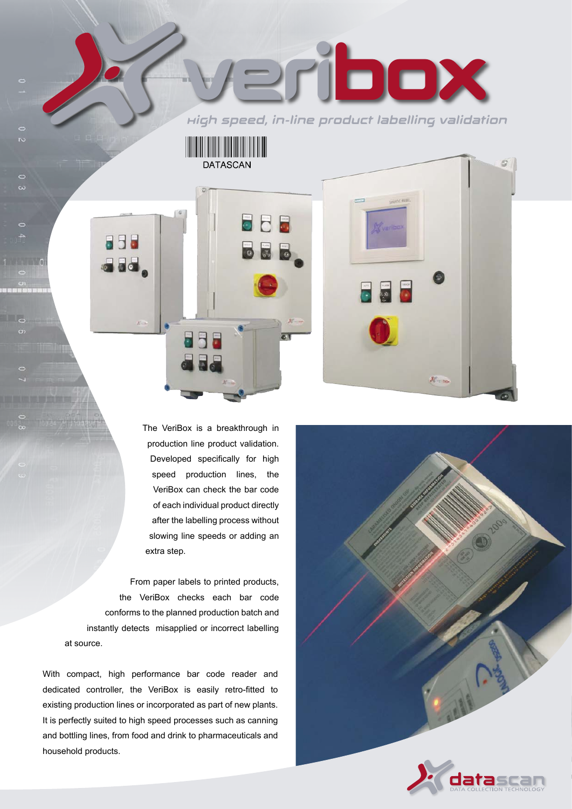Verleben High speed, in-line product labelling validation

The VeriBox is a breakthrough in production line product validation. Developed specifically for high speed production lines, the VeriBox can check the bar code of each individual product directly after the labelling process without slowing line speeds or adding an extra step.

**DATASCAN** 

From paper labels to printed products, the VeriBox checks each bar code conforms to the planned production batch and instantly detects misapplied or incorrect labelling at source.

With compact, high performance bar code reader and dedicated controller, the VeriBox is easily retro-fitted to existing production lines or incorporated as part of new plants. It is perfectly suited to high speed processes such as canning and bottling lines, from food and drink to pharmaceuticals and household products.

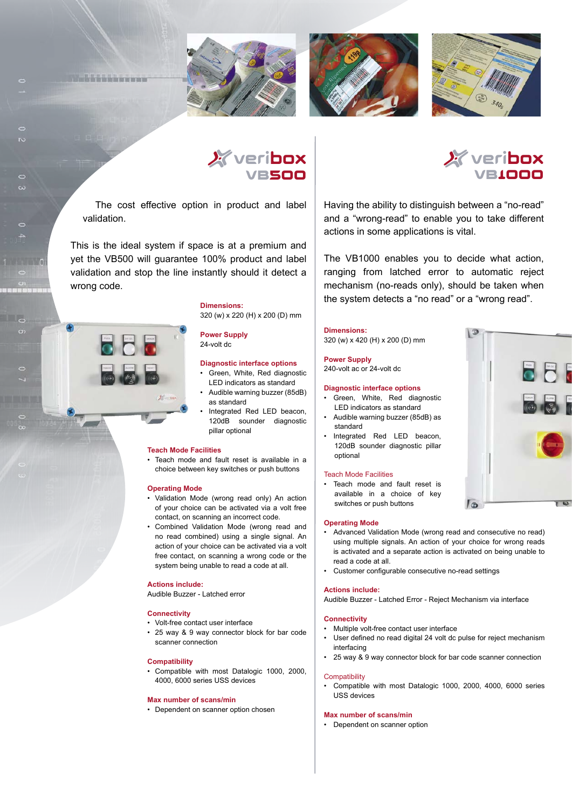







The cost effective option in product and label validation.

**Littletin van de Afrika** 

This is the ideal system if space is at a premium and yet the VB500 will guarantee 100% product and label validation and stop the line instantly should it detect a wrong code.

> **Dimensions:** 320 (w) x 220 (H) x 200 (D) mm

# **Power Supply**

24-volt dc

### **Diagnostic interface options**

- Green, White, Red diagnostic LED indicators as standard
- Audible warning buzzer (85dB) as standard
- Integrated Red LED beacon, 120dB sounder diagnostic pillar optional

### **Teach Mode Facilities**

 • Teach mode and fault reset is available in a choice between key switches or push buttons

### **Operating Mode**

- Validation Mode (wrong read only) An action of your choice can be activated via a volt free contact, on scanning an incorrect code.
- Combined Validation Mode (wrong read and no read combined) using a single signal. An action of your choice can be activated via a volt free contact, on scanning a wrong code or the system being unable to read a code at all.

### **Actions include:**

Audible Buzzer - Latched error

### **Connectivity**

- Volt-free contact user interface
- 25 way & 9 way connector block for bar code scanner connection

### **Compatibility**

 • Compatible with most Datalogic 1000, 2000, 4000, 6000 series USS devices

#### **Max number of scans/min**

• Dependent on scanner option chosen



Having the ability to distinguish between a "no-read" and a "wrong-read" to enable you to take different actions in some applications is vital.

The VB1000 enables you to decide what action, ranging from latched error to automatic reject mechanism (no-reads only), should be taken when the system detects a "no read" or a "wrong read".

**Dimensions:**

320 (w) x 420 (H) x 200 (D) mm

**Power Supply** 240-volt ac or 24-volt dc

#### **Diagnostic interface options**

- Green, White, Red diagnostic LED indicators as standard
- Audible warning buzzer (85dB) as standard
- Integrated Red LED beacon, 120dB sounder diagnostic pillar optional

#### Teach Mode Facilities

Teach mode and fault reset is available in a choice of key switches or push buttons

#### **Operating Mode**

- Advanced Validation Mode (wrong read and consecutive no read) using multiple signals. An action of your choice for wrong reads is activated and a separate action is activated on being unable to read a code at all.
- Customer configurable consecutive no-read settings

#### **Actions include:**

Audible Buzzer - Latched Error - Reject Mechanism via interface

#### **Connectivity**

- Multiple volt-free contact user interface
- User defined no read digital 24 volt dc pulse for reject mechanism interfacing
- 25 way & 9 way connector block for bar code scanner connection

#### **Compatibility**

• Compatible with most Datalogic 1000, 2000, 4000, 6000 series USS devices

### **Max number of scans/min**

• Dependent on scanner option

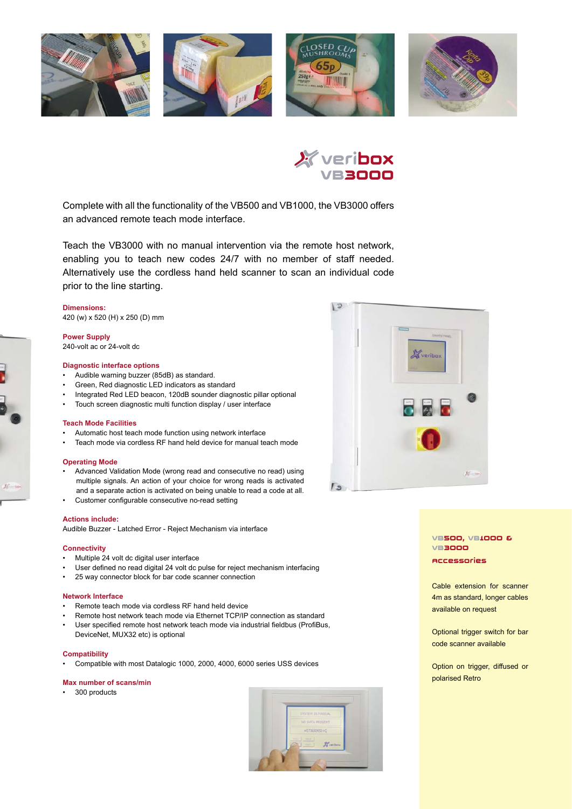



Complete with all the functionality of the VB500 and VB1000, the VB3000 offers an advanced remote teach mode interface.

Teach the VB3000 with no manual intervention via the remote host network, enabling you to teach new codes 24/7 with no member of staff needed. Alternatively use the cordless hand held scanner to scan an individual code prior to the line starting.

**Dimensions:** 420 (w) x 520 (H) x 250 (D) mm

#### **Power Supply**

240-volt ac or 24-volt dc

# **Diagnostic interface options**

- Audible warning buzzer (85dB) as standard.
- Green, Red diagnostic LED indicators as standard
- Integrated Red LED beacon, 120dB sounder diagnostic pillar optional
- Touch screen diagnostic multi function display / user interface

#### **Teach Mode Facilities**

- Automatic host teach mode function using network interface
- Teach mode via cordless RF hand held device for manual teach mode

### **Operating Mode**

- Advanced Validation Mode (wrong read and consecutive no read) using multiple signals. An action of your choice for wrong reads is activated and a separate action is activated on being unable to read a code at all.
- Customer configurable consecutive no-read setting

### **Actions include:**

Audible Buzzer - Latched Error - Reject Mechanism via interface

### **Connectivity**

- Multiple 24 volt dc digital user interface
- User defined no read digital 24 volt dc pulse for reject mechanism interfacing
- 25 way connector block for bar code scanner connection

#### **Network Interface**

- Remote teach mode via cordless RF hand held device
- Remote host network teach mode via Ethernet TCP/IP connection as standard • User specified remote host network teach mode via industrial fieldbus (ProfiBus,
- DeviceNet, MUX32 etc) is optional

### **Compatibility**

• Compatible with most Datalogic 1000, 2000, 4000, 6000 series USS devices

#### **Max number of scans/min**

• 300 products





## VB500, VB1000 & VB3000 Accessories

 Cable extension for scanner 4m as standard, longer cables available on request

Optional trigger switch for bar code scanner available

Option on trigger, diffused or polarised Retro